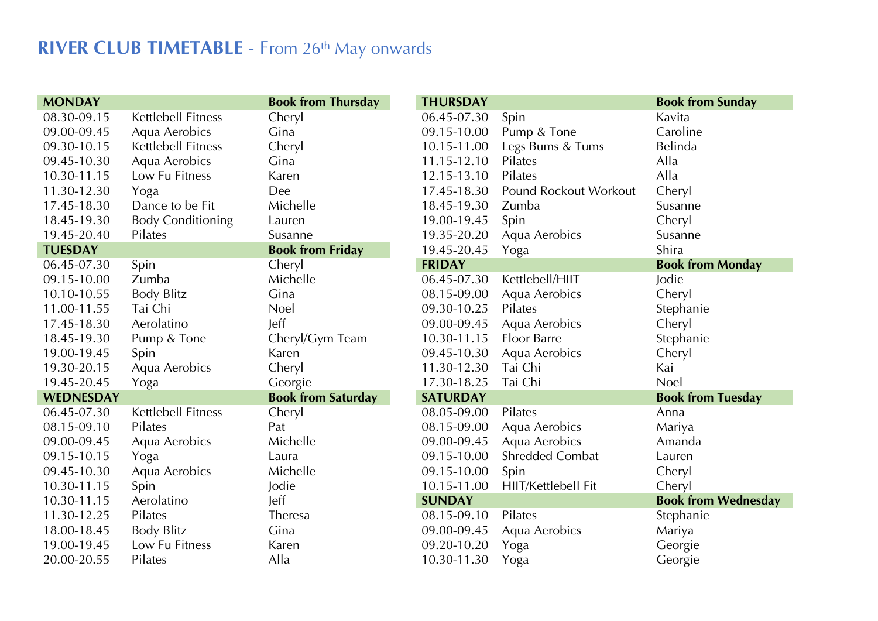## **RIVER CLUB TIMETABLE** - From 26<sup>th</sup> May onwards

| <b>MONDAY</b>    |                           | <b>Book from Thursday</b> | <b>THURSDAY</b> |                        | <b>Book from Sunday</b>    |
|------------------|---------------------------|---------------------------|-----------------|------------------------|----------------------------|
| 08.30-09.15      | <b>Kettlebell Fitness</b> | Cheryl                    | 06.45-07.30     | Spin                   | Kavita                     |
| 09.00-09.45      | Aqua Aerobics             | Gina                      | 09.15-10.00     | Pump & Tone            | Caroline                   |
| 09.30-10.15      | <b>Kettlebell Fitness</b> | Cheryl                    | 10.15-11.00     | Legs Bums & Tums       | Belinda                    |
| 09.45-10.30      | Aqua Aerobics             | Gina                      | 11.15-12.10     | Pilates                | Alla                       |
| 10.30-11.15      | Low Fu Fitness            | Karen                     | 12.15-13.10     | Pilates                | Alla                       |
| 11.30-12.30      | Yoga                      | Dee                       | 17.45-18.30     | Pound Rockout Workout  | Cheryl                     |
| 17.45-18.30      | Dance to be Fit           | Michelle                  | 18.45-19.30     | Zumba                  | Susanne                    |
| 18.45-19.30      | <b>Body Conditioning</b>  | Lauren                    | 19.00-19.45     | Spin                   | Cheryl                     |
| 19.45-20.40      | Pilates                   | Susanne                   | 19.35-20.20     | Aqua Aerobics          | Susanne                    |
| <b>TUESDAY</b>   |                           | <b>Book from Friday</b>   | 19.45-20.45     | Yoga                   | Shira                      |
| 06.45-07.30      | Spin                      | Cheryl                    | <b>FRIDAY</b>   |                        | <b>Book from Monday</b>    |
| 09.15-10.00      | Zumba                     | Michelle                  | 06.45-07.30     | Kettlebell/HIIT        | Jodie                      |
| 10.10-10.55      | <b>Body Blitz</b>         | Gina                      | 08.15-09.00     | Aqua Aerobics          | Cheryl                     |
| 11.00-11.55      | Tai Chi                   | <b>Noel</b>               | 09.30-10.25     | Pilates                | Stephanie                  |
| 17.45-18.30      | Aerolatino                | leff                      | 09.00-09.45     | Aqua Aerobics          | Cheryl                     |
| 18.45-19.30      | Pump & Tone               | Cheryl/Gym Team           | 10.30-11.15     | <b>Floor Barre</b>     | Stephanie                  |
| 19.00-19.45      | Spin                      | Karen                     | 09.45-10.30     | Aqua Aerobics          | Cheryl                     |
| 19.30-20.15      | Aqua Aerobics             | Cheryl                    | 11.30-12.30     | Tai Chi                | Kai                        |
| 19.45-20.45      | Yoga                      | Georgie                   | 17.30-18.25     | Tai Chi                | Noel                       |
| <b>WEDNESDAY</b> |                           | <b>Book from Saturday</b> | <b>SATURDAY</b> |                        | <b>Book from Tuesday</b>   |
| 06.45-07.30      | Kettlebell Fitness        | Cheryl                    | 08.05-09.00     | Pilates                | Anna                       |
| 08.15-09.10      | Pilates                   | Pat                       | 08.15-09.00     | Aqua Aerobics          | Mariya                     |
| 09.00-09.45      | Aqua Aerobics             | Michelle                  | 09.00-09.45     | Aqua Aerobics          | Amanda                     |
| 09.15-10.15      | Yoga                      | Laura                     | 09.15-10.00     | <b>Shredded Combat</b> | Lauren                     |
| 09.45-10.30      | Aqua Aerobics             | Michelle                  | 09.15-10.00     | Spin                   | Cheryl                     |
| 10.30-11.15      | Spin                      | Jodie                     | 10.15-11.00     | HIIT/Kettlebell Fit    | Cheryl                     |
| 10.30-11.15      | Aerolatino                | Jeff                      | <b>SUNDAY</b>   |                        | <b>Book from Wednesday</b> |
| 11.30-12.25      | Pilates                   | Theresa                   | 08.15-09.10     | Pilates                | Stephanie                  |
| 18.00-18.45      | <b>Body Blitz</b>         | Gina                      | 09.00-09.45     | Aqua Aerobics          | Mariya                     |
| 19.00-19.45      | Low Fu Fitness            | Karen                     | 09.20-10.20     | Yoga                   | Georgie                    |
| 20.00-20.55      | Pilates                   | Alla                      | 10.30-11.30     | Yoga                   | Georgie                    |